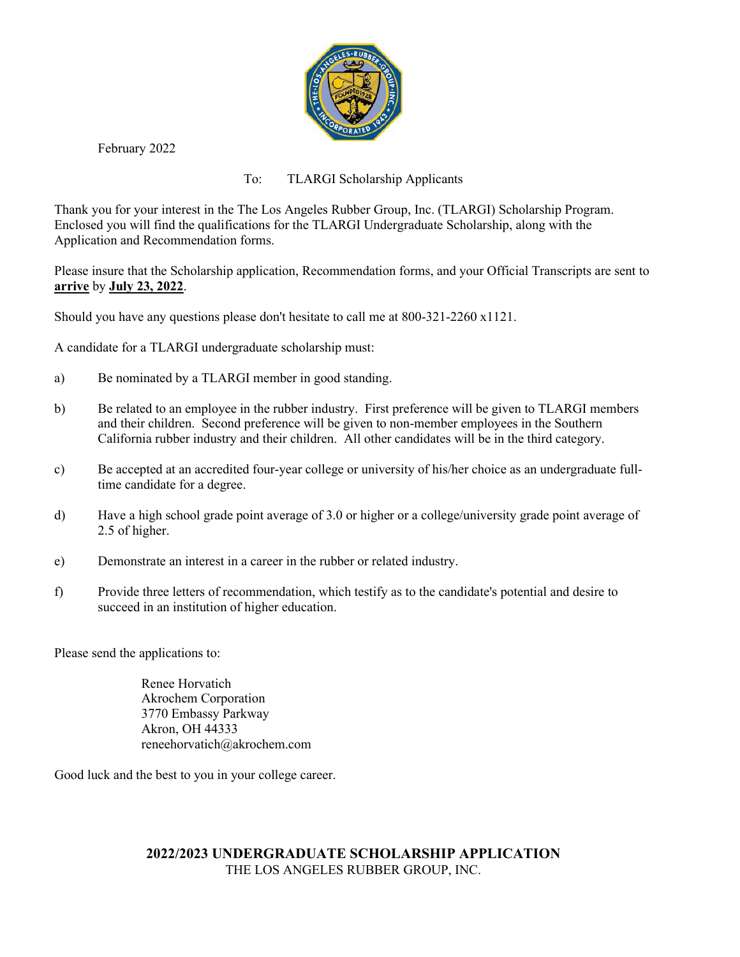

February 2022

To: TLARGI Scholarship Applicants

Thank you for your interest in the The Los Angeles Rubber Group, Inc. (TLARGI) Scholarship Program. Enclosed you will find the qualifications for the TLARGI Undergraduate Scholarship, along with the Application and Recommendation forms.

Please insure that the Scholarship application, Recommendation forms, and your Official Transcripts are sent to **arrive** by **July 23, 2022**.

Should you have any questions please don't hesitate to call me at 800-321-2260 x1121.

A candidate for a TLARGI undergraduate scholarship must:

- a) Be nominated by a TLARGI member in good standing.
- b) Be related to an employee in the rubber industry. First preference will be given to TLARGI members and their children. Second preference will be given to non-member employees in the Southern California rubber industry and their children. All other candidates will be in the third category.
- c) Be accepted at an accredited four-year college or university of his/her choice as an undergraduate fulltime candidate for a degree.
- d) Have a high school grade point average of 3.0 or higher or a college/university grade point average of 2.5 of higher.
- e) Demonstrate an interest in a career in the rubber or related industry.
- f) Provide three letters of recommendation, which testify as to the candidate's potential and desire to succeed in an institution of higher education.

Please send the applications to:

Renee Horvatich Akrochem Corporation 3770 Embassy Parkway Akron, OH 44333 reneehorvatich@akrochem.com

Good luck and the best to you in your college career.

## **2022/2023 UNDERGRADUATE SCHOLARSHIP APPLICATION** THE LOS ANGELES RUBBER GROUP, INC.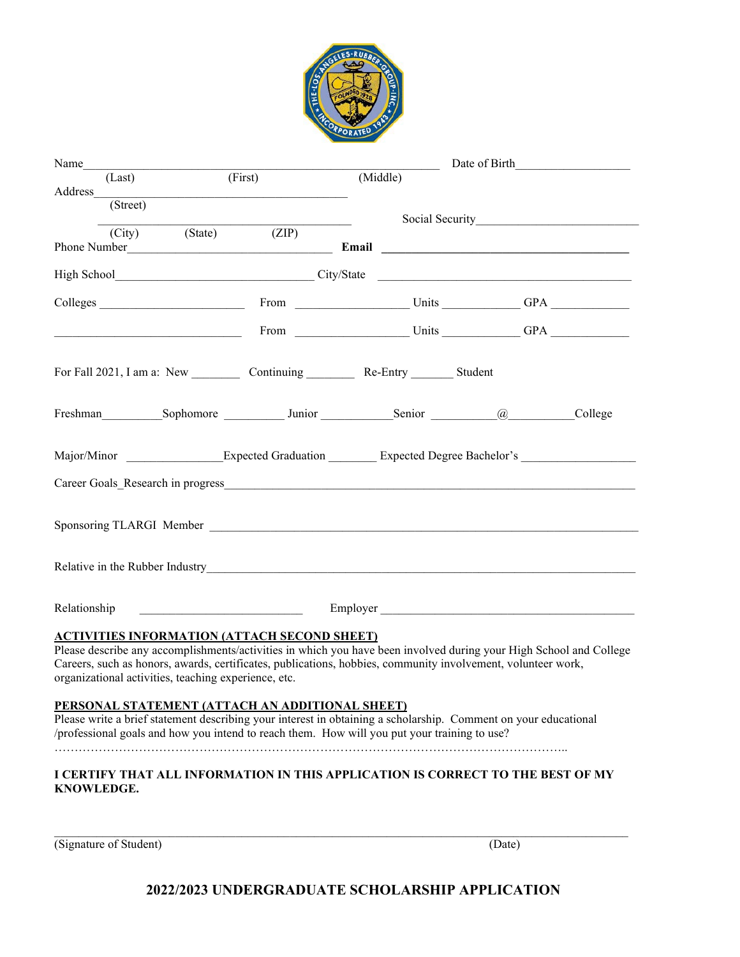

|              |                   | Name                                                 |                                                                                                                                                                                                                                                                    |          |          | Date of Birth                                                                                                      |
|--------------|-------------------|------------------------------------------------------|--------------------------------------------------------------------------------------------------------------------------------------------------------------------------------------------------------------------------------------------------------------------|----------|----------|--------------------------------------------------------------------------------------------------------------------|
|              | (Last)<br>Address |                                                      | (First)                                                                                                                                                                                                                                                            | (Middle) |          |                                                                                                                    |
|              | (Street)          |                                                      |                                                                                                                                                                                                                                                                    |          |          |                                                                                                                    |
|              |                   | (City) (State) (ZIP)                                 |                                                                                                                                                                                                                                                                    |          |          |                                                                                                                    |
|              |                   |                                                      |                                                                                                                                                                                                                                                                    |          |          |                                                                                                                    |
|              |                   |                                                      |                                                                                                                                                                                                                                                                    |          |          |                                                                                                                    |
|              |                   | Colleges                                             |                                                                                                                                                                                                                                                                    |          |          |                                                                                                                    |
|              |                   |                                                      |                                                                                                                                                                                                                                                                    |          |          |                                                                                                                    |
|              |                   |                                                      |                                                                                                                                                                                                                                                                    |          |          |                                                                                                                    |
|              |                   |                                                      | Freshman Sophomore Junior Senior (@ College                                                                                                                                                                                                                        |          |          |                                                                                                                    |
|              |                   |                                                      |                                                                                                                                                                                                                                                                    |          |          | Major/Minor Expected Graduation Expected Degree Bachelor's                                                         |
| Relationship |                   |                                                      |                                                                                                                                                                                                                                                                    |          | Employer |                                                                                                                    |
|              |                   | organizational activities, teaching experience, etc. | <b>ACTIVITIES INFORMATION (ATTACH SECOND SHEET)</b><br>Careers, such as honors, awards, certificates, publications, hobbies, community involvement, volunteer work,                                                                                                |          |          | Please describe any accomplishments/activities in which you have been involved during your High School and College |
|              |                   |                                                      | PERSONAL STATEMENT (ATTACH AN ADDITIONAL SHEET)<br>Please write a brief statement describing your interest in obtaining a scholarship. Comment on your educational<br>/professional goals and how you intend to reach them. How will you put your training to use? |          |          |                                                                                                                    |
| KNOWLEDGE.   |                   |                                                      | I CERTIFY THAT ALL INFORMATION IN THIS APPLICATION IS CORRECT TO THE BEST OF MY                                                                                                                                                                                    |          |          |                                                                                                                    |

(Signature of Student) (Date)

## **2022/2023 UNDERGRADUATE SCHOLARSHIP APPLICATION**

 $\mathcal{L}_\mathcal{L} = \mathcal{L}_\mathcal{L} = \mathcal{L}_\mathcal{L} = \mathcal{L}_\mathcal{L} = \mathcal{L}_\mathcal{L} = \mathcal{L}_\mathcal{L} = \mathcal{L}_\mathcal{L} = \mathcal{L}_\mathcal{L} = \mathcal{L}_\mathcal{L} = \mathcal{L}_\mathcal{L} = \mathcal{L}_\mathcal{L} = \mathcal{L}_\mathcal{L} = \mathcal{L}_\mathcal{L} = \mathcal{L}_\mathcal{L} = \mathcal{L}_\mathcal{L} = \mathcal{L}_\mathcal{L} = \mathcal{L}_\mathcal{L}$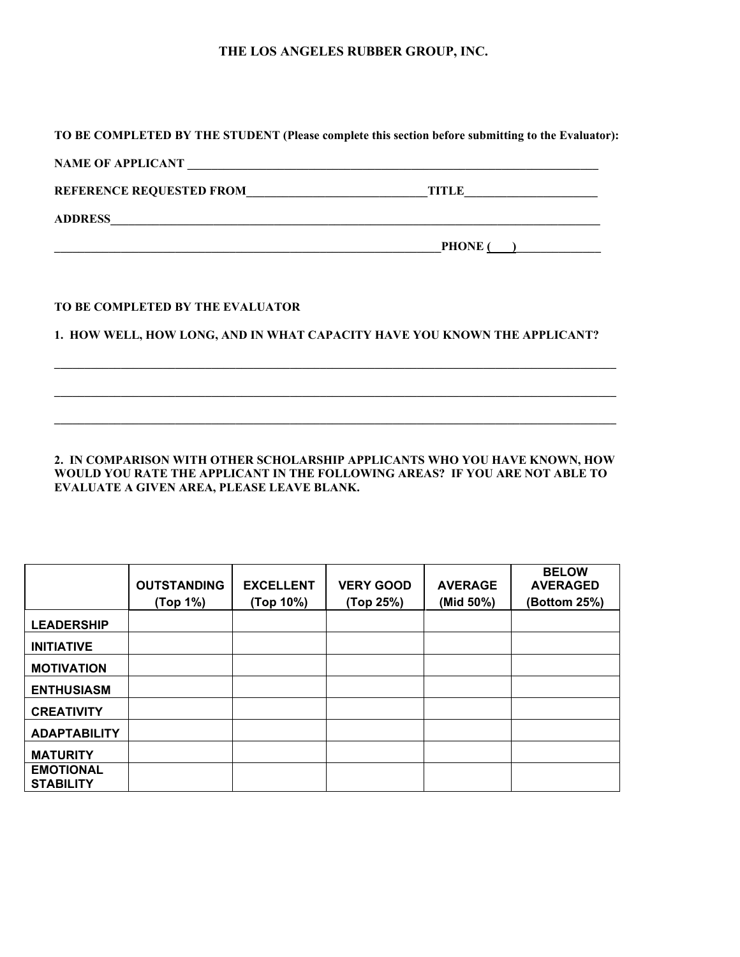## **THE LOS ANGELES RUBBER GROUP, INC.**

| $PHONE$ ( )                                                               |
|---------------------------------------------------------------------------|
|                                                                           |
|                                                                           |
| 1. HOW WELL, HOW LONG, AND IN WHAT CAPACITY HAVE YOU KNOWN THE APPLICANT? |
|                                                                           |
|                                                                           |
|                                                                           |

**2. IN COMPARISON WITH OTHER SCHOLARSHIP APPLICANTS WHO YOU HAVE KNOWN, HOW WOULD YOU RATE THE APPLICANT IN THE FOLLOWING AREAS? IF YOU ARE NOT ABLE TO EVALUATE A GIVEN AREA, PLEASE LEAVE BLANK.**

|                                      | <b>OUTSTANDING</b><br>(Top 1%) | <b>EXCELLENT</b><br>(Top 10%) | <b>VERY GOOD</b><br>(Top 25%) | <b>AVERAGE</b><br>(Mid 50%) | <b>BELOW</b><br><b>AVERAGED</b><br>(Bottom 25%) |
|--------------------------------------|--------------------------------|-------------------------------|-------------------------------|-----------------------------|-------------------------------------------------|
|                                      |                                |                               |                               |                             |                                                 |
| <b>LEADERSHIP</b>                    |                                |                               |                               |                             |                                                 |
| <b>INITIATIVE</b>                    |                                |                               |                               |                             |                                                 |
| <b>MOTIVATION</b>                    |                                |                               |                               |                             |                                                 |
| <b>ENTHUSIASM</b>                    |                                |                               |                               |                             |                                                 |
| <b>CREATIVITY</b>                    |                                |                               |                               |                             |                                                 |
| <b>ADAPTABILITY</b>                  |                                |                               |                               |                             |                                                 |
| <b>MATURITY</b>                      |                                |                               |                               |                             |                                                 |
| <b>EMOTIONAL</b><br><b>STABILITY</b> |                                |                               |                               |                             |                                                 |